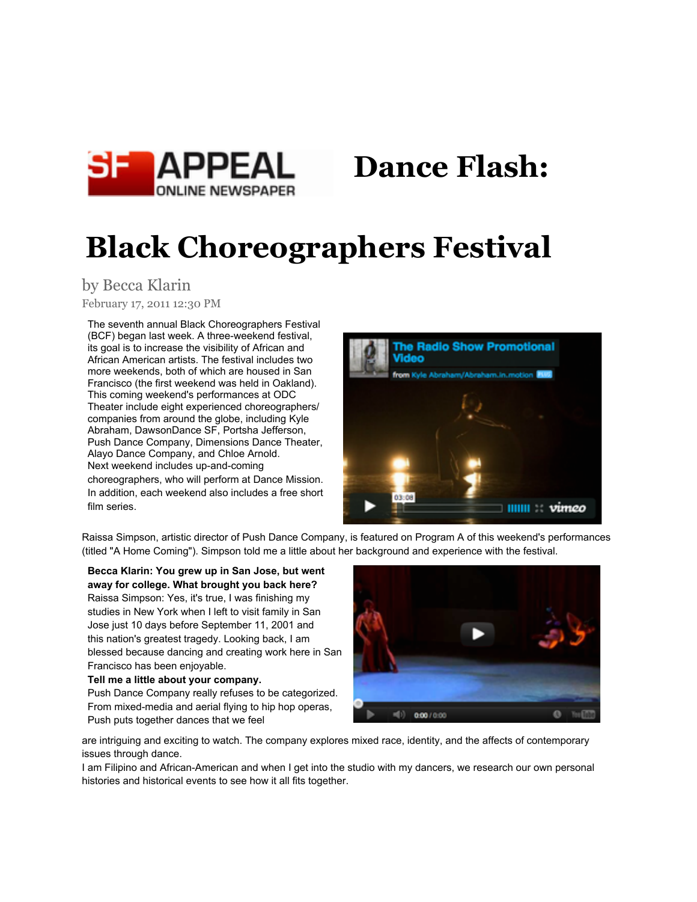

# **Dance Flash:**

# **Black Choreographers Festival**

by Becca Klarin

February 17, 2011 12:30 PM

The seventh annual Black Choreographers Festival (BCF) began last week. A three-weekend festival, its goal is to increase the visibility of African and African American artists. The festival includes two more weekends, both of which are housed in San Francisco (the first weekend was held in Oakland). This coming weekend's performances at [ODC](http://odcdance.org/theater.php) [Theater](http://odcdance.org/theater.php) include eight experienced choreographers/ companies from around the globe, including [Kyle](http://abrahaminmotion.org/) [Abraham,](http://abrahaminmotion.org/) DawsonDance SF, [Portsha](http://www.myspace.com/raratoulimen) [Jefferson,](http://www.myspace.com/raratoulimen) [Push](http://www.pushdance.org/) [Dance](http://www.pushdance.org/) [Company](http://www.pushdance.org/), Dimensions Dance Theater, Alayo Dance Company, and [Chloe](http://www.chloearnold.com/) [Arnold.](http://www.chloearnold.com/) Next weekend includes up-and-coming choreographers, who will perform at [Dance](http://www.dancemission.com/) [Mission.](http://www.dancemission.com/) In addition, each weekend also includes a free short film series.



Raissa Simpson, artistic director of Push Dance Company, is featured on Program A of this weekend's performances (titled "A Home Coming"). Simpson told me a little about her background and experience with the festival.

**Becca Klarin: You grew up in San Jose, but went away for college. What brought you back here?** Raissa Simpson: Yes, it's true, I was finishing my studies in New York when I left to visit family in San Jose just 10 days before September 11, 2001 and this nation's greatest tragedy. Looking back, I am blessed because dancing and creating work here in San Francisco has been enjoyable.

#### **Tell me a little about your company.**

Push Dance Company really refuses to be categorized. From mixed-media and aerial flying to hip hop operas, Push puts together dances that we feel



are intriguing and exciting to watch. The company explores mixed race, identity, and the affects of contemporary issues through dance.

I am Filipino and African-American and when I get into the studio with my dancers, we research our own personal histories and historical events to see how it all fits together.